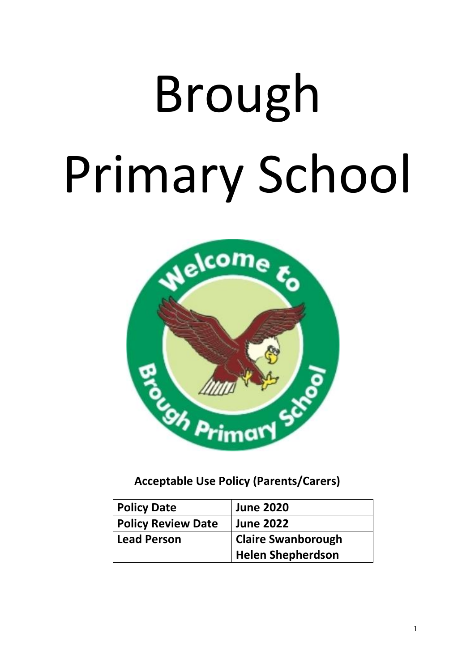# Brough Primary School



**Acceptable Use Policy (Parents/Carers)**

| <b>Policy Date</b>        | <b>June 2020</b>          |
|---------------------------|---------------------------|
| <b>Policy Review Date</b> | <b>June 2022</b>          |
| <b>Lead Person</b>        | <b>Claire Swanborough</b> |
|                           | <b>Helen Shepherdson</b>  |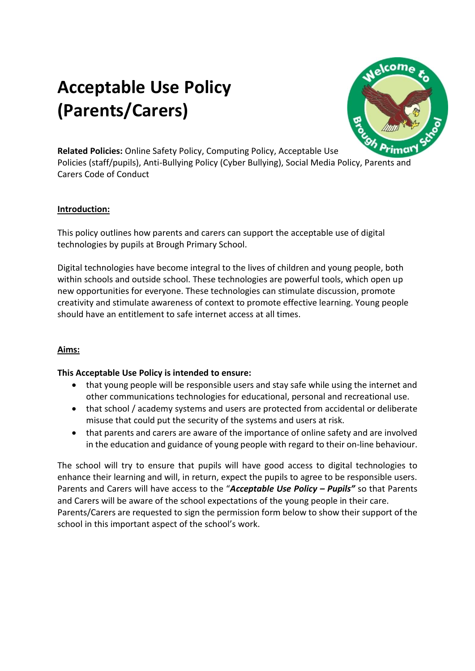# **Acceptable Use Policy (Parents/Carers)**



**Related Policies:** Online Safety Policy, Computing Policy, Acceptable Use Policies (staff/pupils), Anti-Bullying Policy (Cyber Bullying), Social Media Policy, Parents and Carers Code of Conduct

# **Introduction:**

This policy outlines how parents and carers can support the acceptable use of digital technologies by pupils at Brough Primary School.

Digital technologies have become integral to the lives of children and young people, both within schools and outside school. These technologies are powerful tools, which open up new opportunities for everyone. These technologies can stimulate discussion, promote creativity and stimulate awareness of context to promote effective learning. Young people should have an entitlement to safe internet access at all times.

#### **Aims:**

#### **This Acceptable Use Policy is intended to ensure:**

- that young people will be responsible users and stay safe while using the internet and other communications technologies for educational, personal and recreational use.
- that school / academy systems and users are protected from accidental or deliberate misuse that could put the security of the systems and users at risk.
- that parents and carers are aware of the importance of online safety and are involved in the education and guidance of young people with regard to their on-line behaviour.

The school will try to ensure that pupils will have good access to digital technologies to enhance their learning and will, in return, expect the pupils to agree to be responsible users. Parents and Carers will have access to the "*Acceptable Use Policy – Pupils"* so that Parents and Carers will be aware of the school expectations of the young people in their care. Parents/Carers are requested to sign the permission form below to show their support of the school in this important aspect of the school's work.